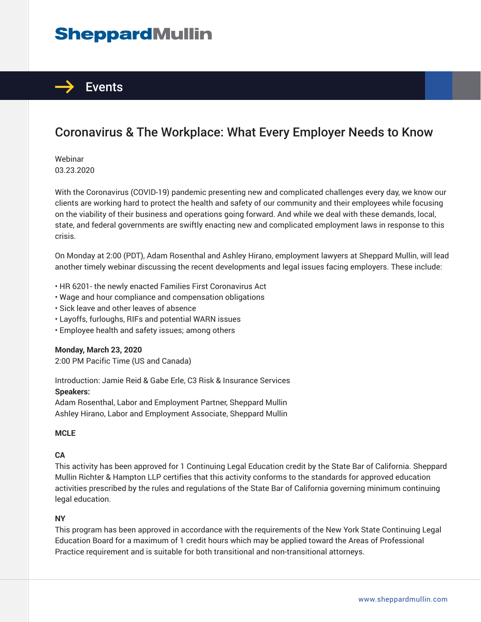# **SheppardMullin**



# Coronavirus & The Workplace: What Every Employer Needs to Know

Webinar 03.23.2020

With the Coronavirus (COVID-19) pandemic presenting new and complicated challenges every day, we know our clients are working hard to protect the health and safety of our community and their employees while focusing on the viability of their business and operations going forward. And while we deal with these demands, local, state, and federal governments are swiftly enacting new and complicated employment laws in response to this crisis.

On Monday at 2:00 (PDT), Adam Rosenthal and Ashley Hirano, employment lawyers at Sheppard Mullin, will lead another timely webinar discussing the recent developments and legal issues facing employers. These include:

- HR 6201- the newly enacted Families First Coronavirus Act
- Wage and hour compliance and compensation obligations
- Sick leave and other leaves of absence
- Layoffs, furloughs, RIFs and potential WARN issues
- Employee health and safety issues; among others

**Monday, March 23, 2020** 2:00 PM Pacific Time (US and Canada)

Introduction: Jamie Reid & Gabe Erle, C3 Risk & Insurance Services **Speakers:**

Adam Rosenthal, Labor and Employment Partner, Sheppard Mullin Ashley Hirano, Labor and Employment Associate, Sheppard Mullin

#### **MCLE**

#### **CA**

This activity has been approved for 1 Continuing Legal Education credit by the State Bar of California. Sheppard Mullin Richter & Hampton LLP certifies that this activity conforms to the standards for approved education activities prescribed by the rules and regulations of the State Bar of California governing minimum continuing legal education.

#### **NY**

This program has been approved in accordance with the requirements of the New York State Continuing Legal Education Board for a maximum of 1 credit hours which may be applied toward the Areas of Professional Practice requirement and is suitable for both transitional and non-transitional attorneys.